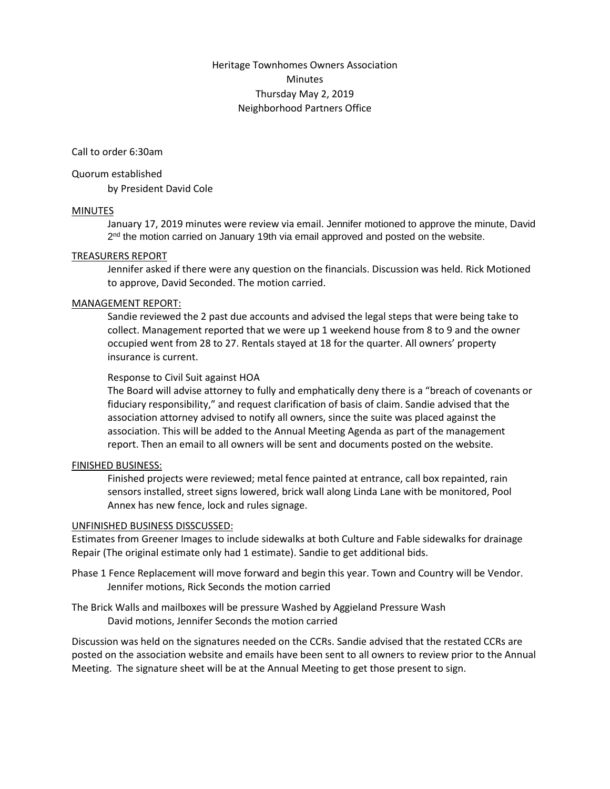# Heritage Townhomes Owners Association **Minutes** Thursday May 2, 2019 Neighborhood Partners Office

Call to order 6:30am

#### Quorum established

by President David Cole

### MINUTES

January 17, 2019 minutes were review via email. Jennifer motioned to approve the minute, David 2<sup>nd</sup> the motion carried on January 19th via email approved and posted on the website.

#### TREASURERS REPORT

Jennifer asked if there were any question on the financials. Discussion was held. Rick Motioned to approve, David Seconded. The motion carried.

#### MANAGEMENT REPORT:

Sandie reviewed the 2 past due accounts and advised the legal steps that were being take to collect. Management reported that we were up 1 weekend house from 8 to 9 and the owner occupied went from 28 to 27. Rentals stayed at 18 for the quarter. All owners' property insurance is current.

#### Response to Civil Suit against HOA

The Board will advise attorney to fully and emphatically deny there is a "breach of covenants or fiduciary responsibility," and request clarification of basis of claim. Sandie advised that the association attorney advised to notify all owners, since the suite was placed against the association. This will be added to the Annual Meeting Agenda as part of the management report. Then an email to all owners will be sent and documents posted on the website.

### FINISHED BUSINESS:

Finished projects were reviewed; metal fence painted at entrance, call box repainted, rain sensors installed, street signs lowered, brick wall along Linda Lane with be monitored, Pool Annex has new fence, lock and rules signage.

#### UNFINISHED BUSINESS DISSCUSSED:

Estimates from Greener Images to include sidewalks at both Culture and Fable sidewalks for drainage Repair (The original estimate only had 1 estimate). Sandie to get additional bids.

Phase 1 Fence Replacement will move forward and begin this year. Town and Country will be Vendor. Jennifer motions, Rick Seconds the motion carried

The Brick Walls and mailboxes will be pressure Washed by Aggieland Pressure Wash David motions, Jennifer Seconds the motion carried

Discussion was held on the signatures needed on the CCRs. Sandie advised that the restated CCRs are posted on the association website and emails have been sent to all owners to review prior to the Annual Meeting. The signature sheet will be at the Annual Meeting to get those present to sign.